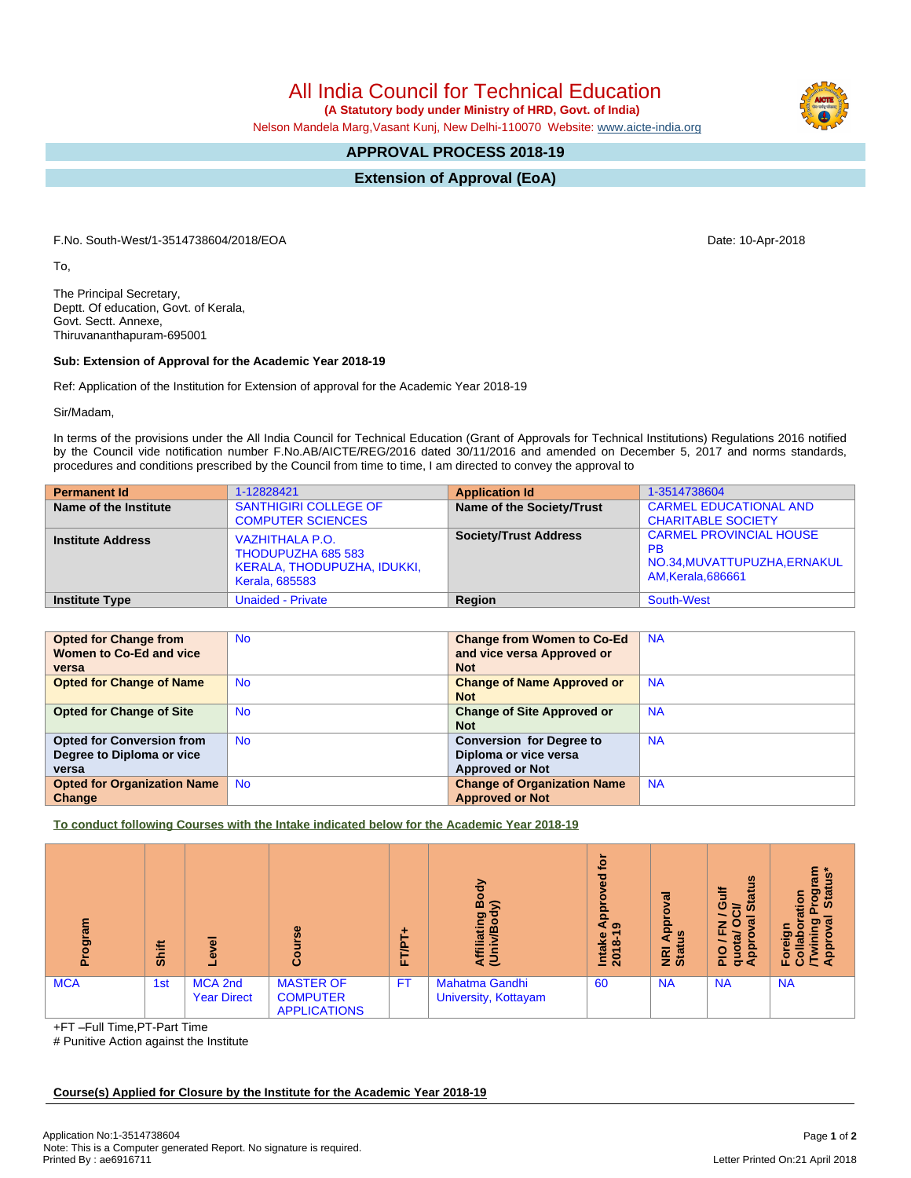All India Council for Technical Education

 **(A Statutory body under Ministry of HRD, Govt. of India)**

Nelson Mandela Marg,Vasant Kunj, New Delhi-110070 Website: [www.aicte-india.org](http://www.aicte-india.org)

## **APPROVAL PROCESS 2018-19**

**Extension of Approval (EoA)**

F.No. South-West/1-3514738604/2018/EOA Date: 10-Apr-2018

To,

The Principal Secretary, Deptt. Of education, Govt. of Kerala, Govt. Sectt. Annexe, Thiruvananthapuram-695001

## **Sub: Extension of Approval for the Academic Year 2018-19**

Ref: Application of the Institution for Extension of approval for the Academic Year 2018-19

Sir/Madam,

In terms of the provisions under the All India Council for Technical Education (Grant of Approvals for Technical Institutions) Regulations 2016 notified by the Council vide notification number F.No.AB/AICTE/REG/2016 dated 30/11/2016 and amended on December 5, 2017 and norms standards, procedures and conditions prescribed by the Council from time to time, I am directed to convey the approval to

| <b>Permanent Id</b>      | 1-12828421                                                                                           | <b>Application Id</b>        | 1-3514738604                                                                                      |
|--------------------------|------------------------------------------------------------------------------------------------------|------------------------------|---------------------------------------------------------------------------------------------------|
| Name of the Institute    | <b>SANTHIGIRI COLLEGE OF</b><br><b>COMPUTER SCIENCES</b>                                             | Name of the Society/Trust    | <b>CARMEL EDUCATIONAL AND</b><br><b>CHARITABLE SOCIETY</b>                                        |
| <b>Institute Address</b> | <b>VAZHITHALA P.O.</b><br>THODUPUZHA 685 583<br>KERALA, THODUPUZHA, IDUKKI,<br><b>Kerala, 685583</b> | <b>Society/Trust Address</b> | <b>CARMEL PROVINCIAL HOUSE</b><br><b>PB</b><br>NO.34, MUVATTUPUZHA, ERNAKUL<br>AM, Kerala, 686661 |
| <b>Institute Type</b>    | <b>Unaided - Private</b>                                                                             | Region                       | South-West                                                                                        |

| <b>Opted for Change from</b>       | <b>No</b> | <b>Change from Women to Co-Ed</b>  | <b>NA</b> |
|------------------------------------|-----------|------------------------------------|-----------|
| Women to Co-Ed and vice            |           | and vice versa Approved or         |           |
| versa                              |           | <b>Not</b>                         |           |
| <b>Opted for Change of Name</b>    | <b>No</b> | <b>Change of Name Approved or</b>  | <b>NA</b> |
|                                    |           | <b>Not</b>                         |           |
| <b>Opted for Change of Site</b>    | <b>No</b> | <b>Change of Site Approved or</b>  | <b>NA</b> |
|                                    |           | <b>Not</b>                         |           |
| <b>Opted for Conversion from</b>   | <b>No</b> | <b>Conversion for Degree to</b>    | <b>NA</b> |
| Degree to Diploma or vice          |           | Diploma or vice versa              |           |
| versa                              |           | <b>Approved or Not</b>             |           |
| <b>Opted for Organization Name</b> | <b>No</b> | <b>Change of Organization Name</b> | <b>NA</b> |
| Change                             |           | <b>Approved or Not</b>             |           |

**To conduct following Courses with the Intake indicated below for the Academic Year 2018-19**

| m<br>ā<br>ō. | <b>Shift</b> | ω                             | Φ<br>O                                                     | T/PT<br>iı. | 공<br>⋒<br>ς<br>୭<br>liatii<br>Ę3              | <b>jo</b><br>ত<br>Ф<br>App<br>െ<br><b>Intake</b><br>2018-1 | ಕ<br>윤<br>w<br><b>Big</b> | <b>SC</b><br>ă<br>÷<br>œ<br>O<br><b>in</b><br>∍<br>ത<br>z<br>o<br>ш.<br>æ<br><u>pp</u><br>9<br>읎<br>ō∢ | $\overline{\mathbf{w}}$<br>$\sigma$<br>o<br>'s<br>Sta<br>åε<br>ە<br>ວາ ແ<br>о<br>힡<br>응<br>∊<br>ပ |
|--------------|--------------|-------------------------------|------------------------------------------------------------|-------------|-----------------------------------------------|------------------------------------------------------------|---------------------------|--------------------------------------------------------------------------------------------------------|---------------------------------------------------------------------------------------------------|
| <b>MCA</b>   | 1st          | MCA 2nd<br><b>Year Direct</b> | <b>MASTER OF</b><br><b>COMPUTER</b><br><b>APPLICATIONS</b> | <b>FT</b>   | <b>Mahatma Gandhi</b><br>University, Kottayam | 60                                                         | <b>NA</b>                 | <b>NA</b>                                                                                              | <b>NA</b>                                                                                         |

+FT –Full Time,PT-Part Time

# Punitive Action against the Institute

**Course(s) Applied for Closure by the Institute for the Academic Year 2018-19**